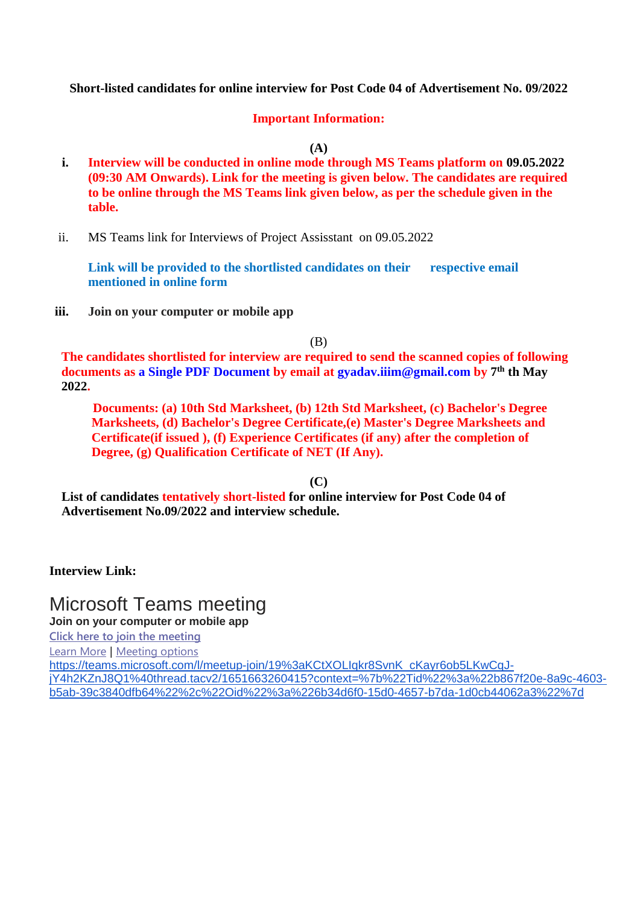### **Short-listed candidates for online interview for Post Code 04 of Advertisement No. 09/2022**

### **Important Information:**

**(A)**

- **i. Interview will be conducted in online mode through MS Teams platform on 09.05.2022 (09:30 AM Onwards). Link for the meeting is given below. The candidates are required to be online through the MS Teams link given below, as per the schedule given in the table.**
- ii. MS Teams link for Interviews of Project Assisstant on 09.05.2022

Link will be provided to the shortlisted candidates on their respective email **mentioned in online form**

**iii. Join on your computer or mobile app**

(B)

**The candidates shortlisted for interview are required to send the scanned copies of following documents as a Single PDF Document by email at [gyadav.iiim@gmail.com b](mailto:gyadav.iiim@gmail.com)y 7 th th May 2022.**

**Documents: (a) 10th Std Marksheet, (b) 12th Std Marksheet, (c) Bachelor's Degree Marksheets, (d) Bachelor's Degree Certificate,(e) Master's Degree Marksheets and Certificate(if issued ), (f) Experience Certificates (if any) after the completion of Degree, (g) Qualification Certificate of NET (If Any).**

**(C)**

**List of candidates tentatively short-listed for online interview for Post Code 04 of Advertisement No.09/2022 and interview schedule.**

**Interview Link:**

# Microsoft Teams meeting

### **Join on your computer or mobile app**

**[Click here to join the meeting](https://teams.microsoft.com/l/meetup-join/19%3aKCtXOLIqkr8SvnK_cKayr6ob5LKwCqJ-jY4h2KZnJ8Q1%40thread.tacv2/1651663260415?context=%7b%22Tid%22%3a%22b867f20e-8a9c-4603-b5ab-39c3840dfb64%22%2c%22Oid%22%3a%226b34d6f0-15d0-4657-b7da-1d0cb44062a3%22%7d)**

[Learn More](https://aka.ms/JoinTeamsMeeting) | [Meeting options](https://teams.microsoft.com/meetingOptions/?organizerId=6b34d6f0-15d0-4657-b7da-1d0cb44062a3&tenantId=b867f20e-8a9c-4603-b5ab-39c3840dfb64&threadId=19_KCtXOLIqkr8SvnK_cKayr6ob5LKwCqJ-jY4h2KZnJ8Q1@thread.tacv2&messageId=1651663260415&language=en-US)

[https://teams.microsoft.com/l/meetup-join/19%3aKCtXOLIqkr8SvnK\\_cKayr6ob5LKwCqJ-](https://teams.microsoft.com/l/meetup-join/19%3aKCtXOLIqkr8SvnK_cKayr6ob5LKwCqJ-jY4h2KZnJ8Q1%40thread.tacv2/1651663260415?context=%7b%22Tid%22%3a%22b867f20e-8a9c-4603-b5ab-39c3840dfb64%22%2c%22Oid%22%3a%226b34d6f0-15d0-4657-b7da-1d0cb44062a3%22%7d)

[jY4h2KZnJ8Q1%40thread.tacv2/1651663260415?context=%7b%22Tid%22%3a%22b867f20e-8a9c-4603](https://teams.microsoft.com/l/meetup-join/19%3aKCtXOLIqkr8SvnK_cKayr6ob5LKwCqJ-jY4h2KZnJ8Q1%40thread.tacv2/1651663260415?context=%7b%22Tid%22%3a%22b867f20e-8a9c-4603-b5ab-39c3840dfb64%22%2c%22Oid%22%3a%226b34d6f0-15d0-4657-b7da-1d0cb44062a3%22%7d) [b5ab-39c3840dfb64%22%2c%22Oid%22%3a%226b34d6f0-15d0-4657-b7da-1d0cb44062a3%22%7d](https://teams.microsoft.com/l/meetup-join/19%3aKCtXOLIqkr8SvnK_cKayr6ob5LKwCqJ-jY4h2KZnJ8Q1%40thread.tacv2/1651663260415?context=%7b%22Tid%22%3a%22b867f20e-8a9c-4603-b5ab-39c3840dfb64%22%2c%22Oid%22%3a%226b34d6f0-15d0-4657-b7da-1d0cb44062a3%22%7d)